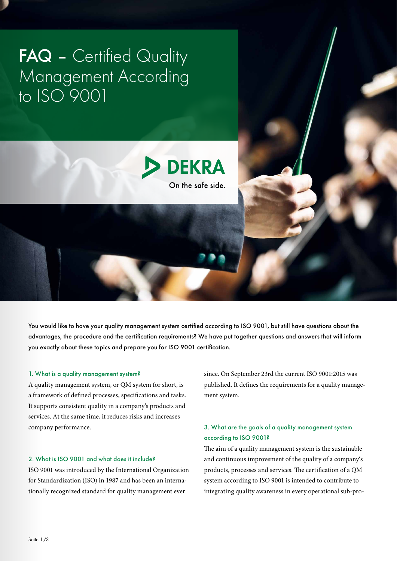# FAQ - Certified Quality Management According to ISO 9001



You would like to have your quality management system certified according to ISO 9001, but still have questions about the advantages, the procedure and the certification requirements? We have put together questions and answers that will inform you exactly about these topics and prepare you for ISO 9001 certification.

#### 1. What is a quality management system?

A quality management system, or QM system for short, is a framework of defined processes, specifications and tasks. It supports consistent quality in a company's products and services. At the same time, it reduces risks and increases company performance.

#### 2. What is ISO 9001 and what does it include?

ISO 9001 was introduced by the International Organization for Standardization (ISO) in 1987 and has been an internationally recognized standard for quality management ever

since. On September 23rd the current ISO 9001:2015 was published. It defines the requirements for a quality management system.

## 3. What are the goals of a quality management system according to ISO 9001?

The aim of a quality management system is the sustainable and continuous improvement of the quality of a company's products, processes and services. The certification of a QM system according to ISO 9001 is intended to contribute to integrating quality awareness in every operational sub-pro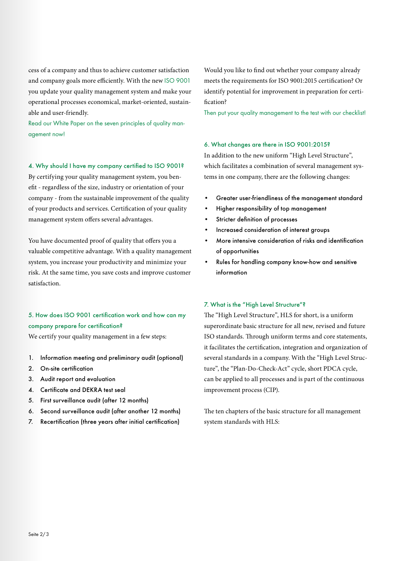cess of a company and thus to achieve customer satisfaction and company goals more efficiently. With the new [ISO 9001](https://www.dekra-certification.us/en/iso-9001-quality-management) you update your quality management system and make your operational processes economical, market-oriented, sustainable and user-friendly.

Read our White Paper on the seven principles of quality management now!

4. Why should I have my company certified to ISO 9001?

By certifying your quality management system, you benefit - regardless of the size, industry or orientation of your company - from the sustainable improvement of the quality of your products and services. Certification of your quality management system offers several advantages.

You have documented proof of quality that offers you a valuable competitive advantage. With a quality management system, you increase your productivity and minimize your risk. At the same time, you save costs and improve customer satisfaction.

## 5. How does ISO 9001 certification work and how can my company prepare for certification?

We certify your quality management in a few steps:

- 1. Information meeting and preliminary audit (optional)
- 2. On-site certification
- 3. Audit report and evaluation
- 4. Certificate and DEKRA test seal
- 5. First surveillance audit (after 12 months)
- 6. Second surveillance audit (after another 12 months)
- 7. Recertification (three years after initial certification)

Would you like to find out whether your company already meets the requirements for ISO 9001:2015 certification? Or identify potential for improvement in preparation for certification?

Then put your quality management to the test with our checklist!

#### 6. What changes are there in ISO 9001:2015?

In addition to the new uniform "High Level Structure", which facilitates a combination of several management systems in one company, there are the following changes:

- Greater user-friendliness of the management standard
- Higher responsibility of top management
- Stricter definition of processes
- Increased consideration of interest groups
- More intensive consideration of risks and identification of opportunities
- Rules for handling company know-how and sensitive information

### 7. What is the "High Level Structure"?

The "High Level Structure", HLS for short, is a uniform superordinate basic structure for all new, revised and future ISO standards. Through uniform terms and core statements, it facilitates the certification, integration and organization of several standards in a company. With the "High Level Structure", the "Plan-Do-Check-Act" cycle, short PDCA cycle, can be applied to all processes and is part of the continuous improvement process (CIP).

The ten chapters of the basic structure for all management system standards with HLS: